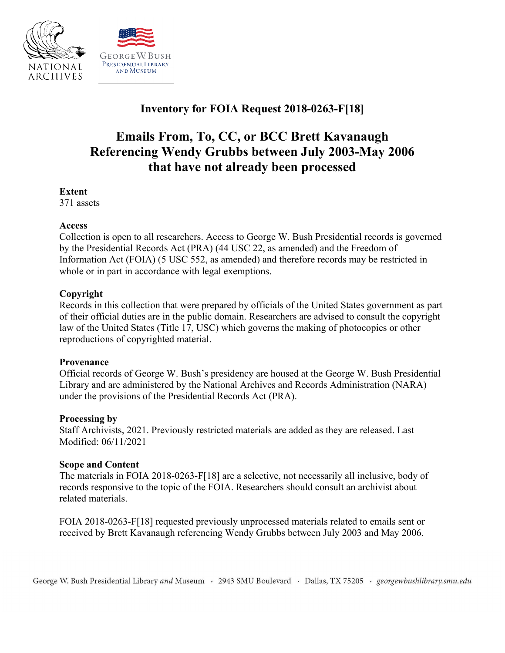

# **Inventory for FOIA Request 2018-0263-F[18]**

# **Emails From, To, CC, or BCC Brett Kavanaugh Referencing Wendy Grubbs between July 2003-May 2006 that have not already been processed**

#### **Extent**

371 assets

#### **Access**

Collection is open to all researchers. Access to George W. Bush Presidential records is governed by the Presidential Records Act (PRA) (44 USC 22, as amended) and the Freedom of Information Act (FOIA) (5 USC 552, as amended) and therefore records may be restricted in whole or in part in accordance with legal exemptions.

## **Copyright**

Records in this collection that were prepared by officials of the United States government as part of their official duties are in the public domain. Researchers are advised to consult the copyright law of the United States (Title 17, USC) which governs the making of photocopies or other reproductions of copyrighted material.

#### **Provenance**

 Official records of George W. Bush's presidency are housed at the George W. Bush Presidential Library and are administered by the National Archives and Records Administration (NARA) under the provisions of the Presidential Records Act (PRA).

#### **Processing by**

Staff Archivists, 2021. Previously restricted materials are added as they are released. Last Modified: 06/11/2021

#### **Scope and Content**

 The materials in FOIA 2018-0263-F[18] are a selective, not necessarily all inclusive, body of records responsive to the topic of the FOIA. Researchers should consult an archivist about related materials.

 FOIA 2018-0263-F[18] requested previously unprocessed materials related to emails sent or received by Brett Kavanaugh referencing Wendy Grubbs between July 2003 and May 2006.

George W. Bush Presidential Library and Museum , 2943 SMU Boulevard , Dallas, TX 75205 , *georgewbushlibrary.smu.edu*